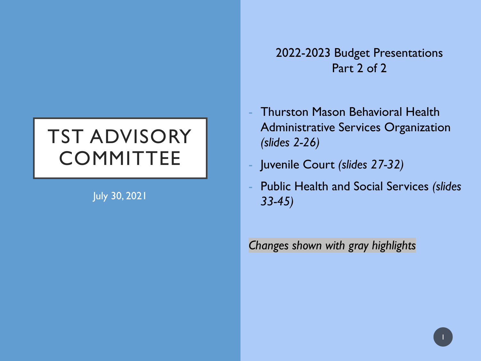### TST ADVISORY **COMMITTEE**

July 30, 2021

2022-2023 Budget Presentations Part 2 of 2

- **Thurston Mason Behavioral Health** Administrative Services Organization *(slides 2-26)*
- Juvenile Court *(slides 27-32)*
- Public Health and Social Services *(slides 33-45)*

*Changes shown with gray highlights*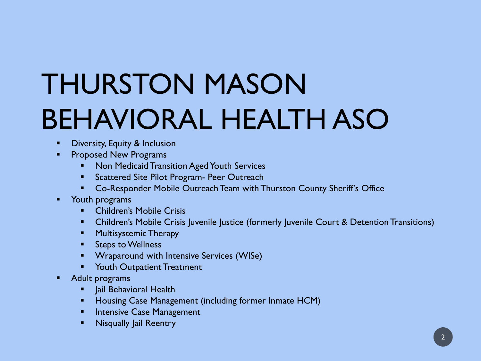# THURSTON MASON BEHAVIORAL HEALTH ASO

- **Diversity, Equity & Inclusion**
- Proposed New Programs
	- **Non Medicaid Transition Aged Youth Services**
	- **Scattered Site Pilot Program- Peer Outreach**
	- **EXP** Co-Responder Mobile Outreach Team with Thurston County Sheriff's Office
- **Nouth programs** 
	- **E** Children's Mobile Crisis
	- **Children's Mobile Crisis Juvenile Justice (formerly Juvenile Court & Detention Transitions)**
	- **•** Multisystemic Therapy
	- **Steps to Wellness**
	- **Wraparound with Intensive Services (WISe)**
	- Youth Outpatient Treatment
- **Adult programs** 
	- Jail Behavioral Health
	- **Housing Case Management (including former Inmate HCM)**
	- **Intensive Case Management**
	- **Nisqually lail Reentry**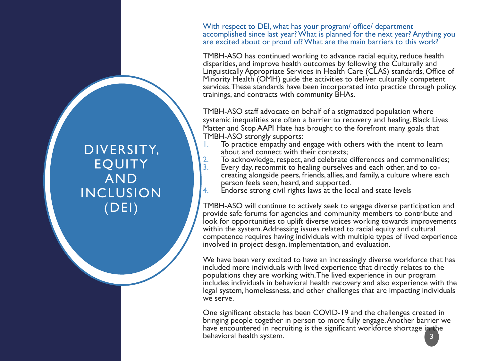With respect to DEI, what has your program/ office/ department accomplished since last year? What is planned for the next year? Anything you are excited about or proud of? What are the main barriers to this work?

TMBH-ASO has continued working to advance racial equity, reduce health disparities, and improve health outcomes by following the Culturally and Linguistically Appropriate Services in Health Care (CLAS) standards, Office of Minority Health (OMH) guide the activities to deliver culturally competent services. These standards have been incorporated into practice through policy, trainings, and contracts with community BHAs.

TMBH-ASO staff advocate on behalf of a stigmatized population where systemic inequalities are often a barrier to recovery and healing. Black Lives Matter and Stop AAPI Hate has brought to the forefront many goals that TMBH-ASO strongly supports:

- 1. To practice empathy and engage with others with the intent to learn about and connect with their contexts;
- 2. To acknowledge, respect, and celebrate differences and commonalities;<br>3. Every day, recommit to healing ourselves and each other, and to co-
- creating alongside peers, friends, allies, and family, a culture where each person feels seen, heard, and supported.
- 4. Endorse strong civil rights laws at the local and state levels

TMBH-ASO will continue to actively seek to engage diverse participation and provide safe forums for agencies and community members to contribute and look for opportunities to uplift diverse voices working towards improvements within the system. Addressing issues related to racial equity and cultural competence requires having individuals with multiple types of lived experience involved in project design, implementation, and evaluation.

We have been very excited to have an increasingly diverse workforce that has included more individuals with lived experience that directly relates to the populations they are working with. The lived experience in our program includes individuals in behavioral health recovery and also experience with the legal system, homelessness, and other challenges that are impacting individuals we serve.

One significant obstacle has been COVID-19 and the challenges created in bringing people together in person to more fully engage. Another barrier we have encountered in recruiting is the significant workforce shortage in the behavioral health system. 3

DIVERSITY, **EOUITY** AND INCLUSION (DEI)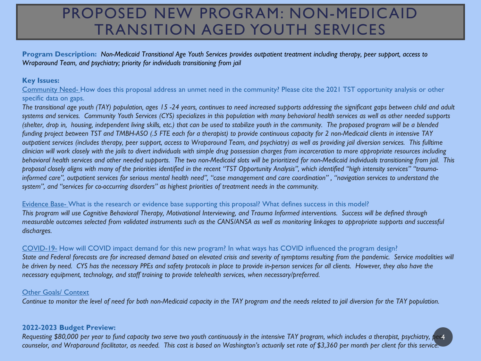### PROPOSED NEW PROGRAM: NON-MEDICAID TRANSITION AGED YOUTH SERVICES

**Program Description:** *Non-Medicaid Transitional Age Youth Services provides outpatient treatment including therapy, peer support, access to Wraparound Team, and psychiatry; priority for individuals transitioning from jail*

#### **Key Issues:**

Community Need- How does this proposal address an unmet need in the community? Please cite the 2021 TST opportunity analysis or other specific data on gaps.

*The transitional age youth (TAY) population, ages 15 -24 years, continues to need increased supports addressing the significant gaps between child and adult systems and services. Community Youth Services (CYS) specializes in this population with many behavioral health services as well as other needed supports (shelter, drop in, housing, independent living skills, etc.) that can be used to stabilize youth in the community. The proposed program will be a blended funding project between TST and TMBH-ASO (.5 FTE each for a therapist) to provide continuous capacity for 2 non-Medicaid clients in intensive TAY outpatient services (includes therapy, peer support, access to Wraparound Team, and psychiatry) as well as providing jail diversion services. This fulltime clinician will work closely with the jails to divert individuals with simple drug possession charges from incarceration to more appropriate resources including behavioral health services and other needed supports. The two non-Medicaid slots will be prioritized for non-Medicaid individuals transitioning from jail. This proposal closely aligns with many of the priorities identified in the recent "TST Opportunity Analysis", which identified "high intensity services" "traumainformed care", outpatient services for serious mental health need", "case management and care coordination" , "navigation services to understand the system", and "services for co-occurring disorders" as highest priorities of treatment needs in the community.*

#### Evidence Base- What is the research or evidence base supporting this proposal? What defines success in this model?

*This program will use Cognitive Behavioral Therapy, Motivational Interviewing, and Trauma Informed interventions. Success will be defined through measurable outcomes selected from validated instruments such as the CANS/ANSA as well as monitoring linkages to appropriate supports and successful discharges.* 

#### COVID-19- How will COVID impact demand for this new program? In what ways has COVID influenced the program design?

State and Federal forecasts are for increased demand based on elevated crisis and severity of symptoms resulting from the pandemic. Service modalities will *be driven by need. CYS has the necessary PPEs and safety protocols in place to provide in-person services for all clients. However, they also have the necessary equipment, technology, and staff training to provide telehealth services, when necessary/preferred.* 

#### Other Goals/ Context

*Continue to monitor the level of need for both non-Medicaid capacity in the TAY program and the needs related to jail diversion for the TAY population.*

#### **2022-2023 Budget Preview:**

Requesting \$80,000 per year to fund capacity two serve two youth continuously in the intensive TAY program, which includes a therapist, psychiatry, p *counselor, and Wraparound facilitator, as needed. This cost is based on Washington's actuarily set rate of \$3,360 per month per client for this service.*  4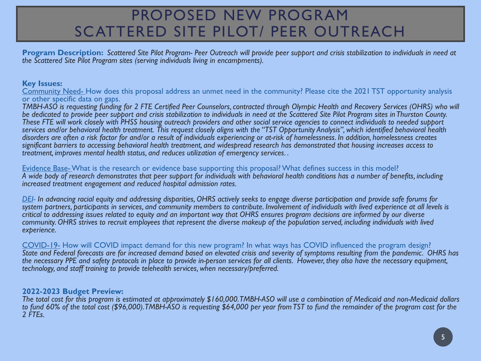### PROPOSED NEW PROGRAM SCATTERED SITE PILOT/ PEER OUTREACH

**Program Description:** *Scattered Site Pilot Program- Peer Outreach will provide peer support and crisis stabilization to individuals in need at the Scattered Site Pilot Program sites (serving individuals living in encampments).* 

#### **Key Issues:**

Community Need- How does this proposal address an unmet need in the community? Please cite the 2021 TST opportunity analysis or other specific data on gaps.

*TMBH-ASO is requesting funding for 2 FTE Certified Peer Counselors, contracted through Olympic Health and Recovery Services (OHRS) who will be dedicated to provide peer support and crisis stabilization to individuals in need at the Scattered Site Pilot Program sites in Thurston County. These FTE will work closely with PHSS housing outreach providers and other social service agencies to connect individuals to needed support services and/or behavioral health treatment. This request closely aligns with the "TST Opportunity Analysis", which identified behavioral health disorders are often a risk factor for and/or a result of individuals experiencing or at-risk of homelessness. In addition, homelessness creates significant barriers to accessing behavioral health treatment, and widespread research has demonstrated that housing increases access to treatment, improves mental health status, and reduces utilization of emergency services. .*

Evidence Base-What is the research or evidence base supporting this proposal? What defines success in this model? *A wide body of research demonstrates that peer support for individuals with behavioral health conditions has a number of benefits, including increased treatment engagement and reduced hospital admission rates.*

*DEI- In advancing racial equity and addressing disparities, OHRS actively seeks to engage diverse participation and provide safe forums for system partners, participants in services, and community members to contribute. Involvement of individuals with lived experience at all levels is critical to addressing issues related to equity and an important way that OHRS ensures program decisions are informed by our diverse community. OHRS strives to recruit employees that represent the diverse makeup of the population served, including individuals with lived experience.* 

COVID-19- How will COVID impact demand for this new program? In what ways has COVID influenced the program design? *State and Federal forecasts are for increased demand based on elevated crisis and severity of symptoms resulting from the pandemic. OHRS has the necessary PPE and safety protocols in place to provide in-person services for all clients. However, they also have the necessary equipment, technology, and staff training to provide telehealth services, when necessary/preferred.* 

#### **2022-2023 Budget Preview:**

*The total cost for this program is estimated at approximately \$160,000. TMBH-ASO will use a combination of Medicaid and non-Medicaid dollars*  to fund 60% of the total cost (\$96,000). TMBH-ASO is requesting \$64,000 per year from TST to fund the remainder of the program cost for the *2 FTEs.*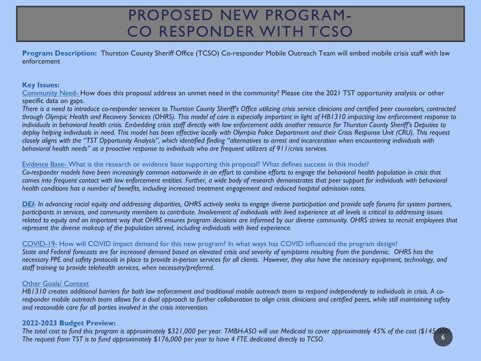### PROPOSED NEW PROGRAM-CO RESPONDER WITH TCSO

**Program Description:** Thurston County Sheriff Office (TCSO) Co-responder Mobile Outreach Team will embed mobile crisis staff with law enforcement

#### **Key Issues:**

Community Need- How does this proposal address an unmet need in the community? Please cite the 2021 TST opportunity analysis or other specific data on gaps.

*There is a need to introduce co-responder services to Thurston County Sheriff's Office utilizing crisis service clinicians and certified peer counselors, contracted through Olympic Health and Recovery Services (OHRS). This model of care is especially important in light of HB1310 impacting law enforcement response to individuals in behavioral health crisis. Embedding crisis staff directly with law enforcement adds another resource for Thurston County Sheriff's Deputies to deploy helping individuals in need. This model has been effective locally with Olympia Police Department and their Crisis Response Unit (CRU). This request closely aligns with the "TST Opportunity Analysis", which identified finding "alternatives to arrest and incarceration when encountering individuals with behavioral health needs" as a proactive response to individuals who are frequent utilizers of 911/crisis services.*

#### Evidence Base- What is the research or evidence base supporting this proposal? What defines success in this model?

*Co-responder models have been increasingly common nationwide in an effort to combine efforts to engage the behavioral health population in crisis that comes into frequent contact with law enforcement entities. Further, a wide body of research demonstrates that peer support for individuals with behavioral health conditions has a number of benefits, including increased treatment engagement and reduced hospital admission rates.*

*DEI- In advancing racial equity and addressing disparities, OHRS actively seeks to engage diverse participation and provide safe forums for system partners, participants in services, and community members to contribute. Involvement of individuals with lived experience at all levels is critical to addressing issues*  related to equity and an important way that OHRS ensures program decisions are informed by our diverse community. OHRS strives to recruit employees that *represent the diverse makeup of the population served, including individuals with lived experience.* 

#### COVID-19- How will COVID impact demand for this new program? In what ways has COVID influenced the program design?

*State and Federal forecasts are for increased demand based on elevated crisis and severity of symptoms resulting from the pandemic. OHRS has the necessary PPE and safety protocols in place to provide in-person services for all clients. However, they also have the necessary equipment, technology, and staff training to provide telehealth services, when necessary/preferred.* 

#### Other Goals/ Context

*HB1310 creates additional barriers for both law enforcement and traditional mobile outreach team to respond independently to individuals in crisis. A coresponder mobile outreach team allows for a dual approach to further collaboration to align crisis clinicians and certified peers, while still maintaining safety and reasonable care for all parties involved in the crisis intervention.*

#### **2022-2023 Budget Preview:**

*The total cost to fund this program is approximately \$321,000 per year. TMBH-ASO will use Medicaid to cover approximately 45% of the cost (\$145,000). The request from TST is to fund approximately \$176,000 per year to have 4 FTE dedicated directly to TCSO.* 6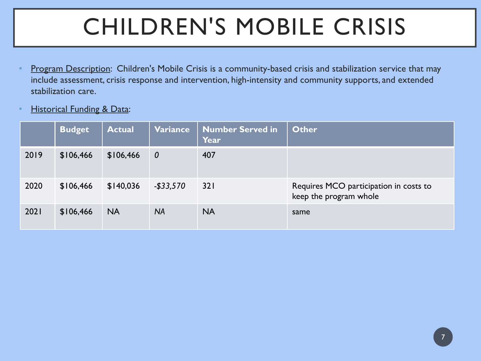# CHILDREN'S MOBILE CRISIS

- Program Description: Children's Mobile Crisis is a community-based crisis and stabilization service that may include assessment, crisis response and intervention, high-intensity and community supports, and extended stabilization care.
- **Historical Funding & Data:**

|      | <b>Budget</b> | <b>Actual</b> | Variance         | <b>Number Served in</b><br>Year | Other                                                            |
|------|---------------|---------------|------------------|---------------------------------|------------------------------------------------------------------|
| 2019 | \$106,466     | \$106,466     | $\boldsymbol{0}$ | 407                             |                                                                  |
| 2020 | \$106,466     | \$140,036     | $-$ \$33,570     | 321                             | Requires MCO participation in costs to<br>keep the program whole |
| 2021 | \$106,466     | <b>NA</b>     | <b>NA</b>        | <b>NA</b>                       | same                                                             |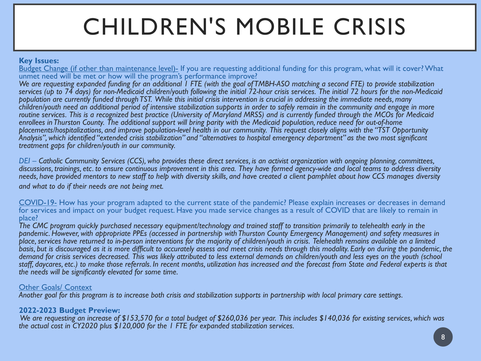# CHILDREN'S MOBILE CRISIS

#### **Key Issues:**

Budget Change (if other than maintenance level)- If you are requesting additional funding for this program, what will it cover? What unmet need will be met or how will the program's performance improve?

*We are requesting expanded funding for an additional 1 FTE (with the goal of TMBH-ASO matching a second FTE) to provide stabilization services (up to 74 days) for non-Medicaid children/youth following the initial 72-hour crisis services. The initial 72 hours for the non-Medicaid population are currently funded through TST. While this initial crisis intervention is crucial in addressing the immediate needs, many children/youth need an additional period of intensive stabilization supports in order to safely remain in the community and engage in more routine services. This is a recognized best practice (University of Maryland MRSS) and is currently funded through the MCOs for Medicaid enrollees in Thurston County. The additional support will bring parity with the Medicaid population, reduce need for out-of-home placements/hospitalizations, and improve population-level health in our community. This request closely aligns with the "TST Opportunity Analysis", which identified "extended crisis stabilization" and "alternatives to hospital emergency department" as the two most significant treatment gaps for children/youth in our community.* 

*DEI – Catholic Community Services (CCS), who provides these direct services, is an activist organization with ongoing planning, committees, discussions, trainings, etc. to ensure continuous improvement in this area. They have formed agency-wide and local teams to address diversity needs, have provided mentors to new staff to help with diversity skills, and have created a client pamphlet about how CCS manages diversity and what to do if their needs are not being met.*

COVID-19- How has your program adapted to the current state of the pandemic? Please explain increases or decreases in demand for services and impact on your budget request. Have you made service changes as a result of COVID that are likely to remain in place?

*The CMC program quickly purchased necessary equipment/technology and trained staff to transition primarily to telehealth early in the pandemic. However, with appropriate PPEs (accessed in partnership with Thurston County Emergency Management) and safety measures in place, services have returned to in-person interventions for the majority of children/youth in crisis. Telehealth remains available on a limited basis, but is discouraged as it is more difficult to accurately assess and meet crisis needs through this modality. Early on during the pandemic, the demand for crisis services decreased. This was likely attributed to less external demands on children/youth and less eyes on the youth (school staff, daycares, etc.) to make those referrals. In recent months, utilization has increased and the forecast from State and Federal experts is that the needs will be significantly elevated for some time.*

#### Other Goals/ Context

*Another goal for this program is to increase both crisis and stabilization supports in partnership with local primary care settings.*

#### **2022-2023 Budget Preview:**

*We are requesting an increase of \$153,570 for a total budget of \$260,036 per year. This includes \$140,036 for existing services, which was the actual cost in CY2020 plus \$120,000 for the 1 FTE for expanded stabilization services.*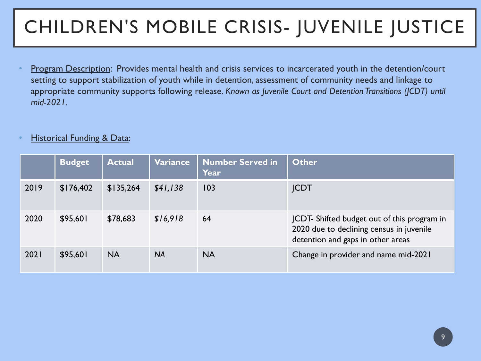### CHILDREN'S MOBILE CRISIS- JUVENILE JUSTICE

• Program Description: Provides mental health and crisis services to incarcerated youth in the detention/court setting to support stabilization of youth while in detention, assessment of community needs and linkage to appropriate community supports following release. *Known as Juvenile Court and Detention Transitions (JCDT) until mid-2021.* 

#### • Historical Funding & Data:

|      | <b>Budget</b> | <b>Actual</b> | Variance  | <b>Number Served in</b><br>Year | <b>Other</b>                                                                                                                |
|------|---------------|---------------|-----------|---------------------------------|-----------------------------------------------------------------------------------------------------------------------------|
| 2019 | \$176,402     | \$135,264     | \$41,138  | 103                             | <b>JCDT</b>                                                                                                                 |
| 2020 | \$95,601      | \$78,683      | \$16,918  | 64                              | JCDT-Shifted budget out of this program in<br>2020 due to declining census in juvenile<br>detention and gaps in other areas |
| 2021 | \$95,601      | <b>NA</b>     | <b>NA</b> | <b>NA</b>                       | Change in provider and name mid-2021                                                                                        |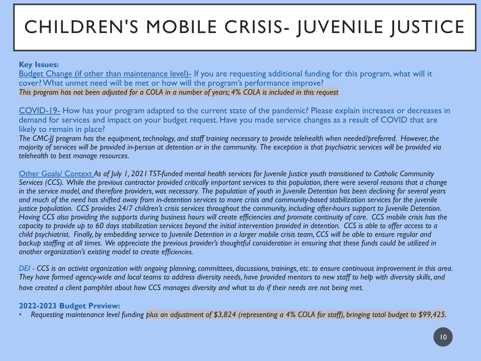### CHILDREN'S MOBILE CRISIS- JUVENILE JUSTICE

#### **Key Issues:**

Budget Change (if other than maintenance level)- If you are requesting additional funding for this program, what will it cover? What unmet need will be met or how will the program's performance improve? *This program has not been adjusted for a COLA in a number of years; 4% COLA is included in this request*

COVID-19- How has your program adapted to the current state of the pandemic? Please explain increases or decreases in demand for services and impact on your budget request. Have you made service changes as a result of COVID that are likely to remain in place?

*The CMC-JJ program has the equipment, technology, and staff training necessary to provide telehealth when needed/preferred. However, the majority of services will be provided in-person at detention or in the community. The exception is that psychiatric services will be provided via telehealth to best manage resources.*

Other Goals/ Context *As of July 1, 2021 TST-funded mental health services for Juvenile Justice youth transitioned to Catholic Community Services (CCS). While the previous contractor provided critically important services to this population, there were several reasons that a change in the service model, and therefore providers, was necessary. The population of youth in Juvenile Detention has been declining for several years and much of the need has shifted away from in-detention services to more crisis and community-based stabilization services for the juvenile justice population. CCS provides 24/7 children's crisis services throughout the community, including after-hours support to Juvenile Detention. Having CCS also providing the supports during business hours will create efficiencies and promote continuity of care. CCS mobile crisis has the capacity to provide up to 60 days stabilization services beyond the initial intervention provided in detention. CCS is able to offer access to a child psychiatrist. Finally, by embedding service to Juvenile Detention in a larger mobile crisis team, CCS will be able to ensure regular and*  backup staffing at all times. We appreciate the previous provider's thoughtful consideration in ensuring that these funds could be utilized in *another organization's existing model to create efficiencies.*

*DEI - CCS is an activist organization with ongoing planning, committees, discussions, trainings, etc. to ensure continuous improvement in this area. They have formed agency-wide and local teams to address diversity needs, have provided mentors to new staff to help with diversity skills, and have created a client pamphlet about how CCS manages diversity and what to do if their needs are not being met.*

#### **2022-2023 Budget Preview:**

• *Requesting maintenance level funding plus an adjustment of \$3,824 (representing a 4% COLA for staff), bringing total budget to \$99,425.*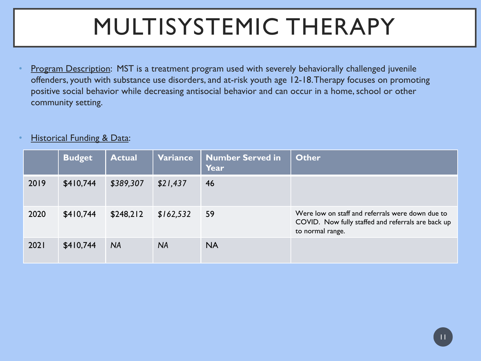# MULTISYSTEMIC THERAPY

Program Description: MST is a treatment program used with severely behaviorally challenged juvenile offenders, youth with substance use disorders, and at-risk youth age 12-18. Therapy focuses on promoting positive social behavior while decreasing antisocial behavior and can occur in a home, school or other community setting.

#### • Historical Funding & Data:

|      | <b>Budget</b> | <b>Actual</b> | Variance  | <b>Number Served in</b><br>Year | <b>Other</b>                                                                                                               |
|------|---------------|---------------|-----------|---------------------------------|----------------------------------------------------------------------------------------------------------------------------|
| 2019 | \$410,744     | \$389,307     | \$21,437  | 46                              |                                                                                                                            |
| 2020 | \$410,744     | \$248,212     | \$162,532 | 59                              | Were low on staff and referrals were down due to<br>COVID. Now fully staffed and referrals are back up<br>to normal range. |
| 2021 | \$410,744     | <b>NA</b>     | <b>NA</b> | <b>NA</b>                       |                                                                                                                            |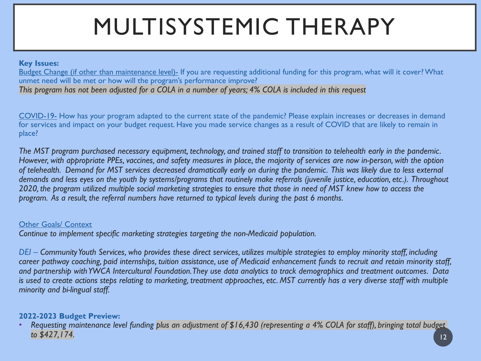# MULTISYSTEMIC THERAPY

#### **Key Issues:**

Budget Change (if other than maintenance level)- If you are requesting additional funding for this program, what will it cover? What unmet need will be met or how will the program's performance improve? *This program has not been adjusted for a COLA in a number of years; 4% COLA is included in this request*

COVID-19- How has your program adapted to the current state of the pandemic? Please explain increases or decreases in demand for services and impact on your budget request. Have you made service changes as a result of COVID that are likely to remain in place?

*The MST program purchased necessary equipment, technology, and trained staff to transition to telehealth early in the pandemic. However, with appropriate PPEs, vaccines, and safety measures in place, the majority of services are now in-person, with the option of telehealth. Demand for MST services decreased dramatically early on during the pandemic. This was likely due to less external demands and less eyes on the youth by systems/programs that routinely make referrals (juvenile justice, education, etc.). Throughout 2020, the program utilized multiple social marketing strategies to ensure that those in need of MST knew how to access the program. As a result, the referral numbers have returned to typical levels during the past 6 months.*

#### Other Goals/ Context

*Continue to implement specific marketing strategies targeting the non-Medicaid population.*

*DEI – Community Youth Services, who provides these direct services, utilizes multiple strategies to employ minority staff, including career pathway coaching, paid internships, tuition assistance, use of Medicaid enhancement funds to recruit and retain minority staff, and partnership with YWCA Intercultural Foundation. They use data analytics to track demographics and treatment outcomes. Data*  is used to create actions steps relating to marketing, treatment approaches, etc. MST currently has a very diverse staff with multiple *minority and bi-lingual staff.*

#### **2022-2023 Budget Preview:**

• *Requesting maintenance level funding plus an adjustment of \$16,430 (representing a 4% COLA for staff), bringing total budget to \$427,174.* <sup>12</sup>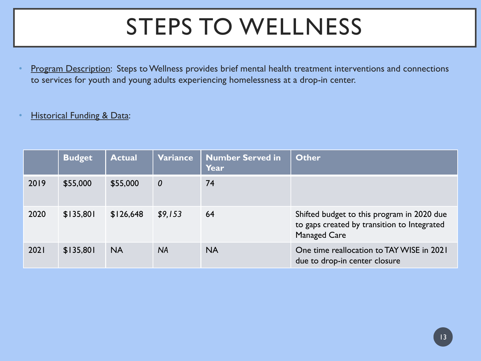# STEPS TO WELLNESS

Program Description: Steps to Wellness provides brief mental health treatment interventions and connections to services for youth and young adults experiencing homelessness at a drop-in center.

#### **Historical Funding & Data:**

|      | <b>Budget</b> | <b>Actual</b> | <b>Variance</b>  | <b>Number Served in</b><br>Year | <b>Other</b>                                                                                                     |
|------|---------------|---------------|------------------|---------------------------------|------------------------------------------------------------------------------------------------------------------|
| 2019 | \$55,000      | \$55,000      | $\boldsymbol{0}$ | 74                              |                                                                                                                  |
| 2020 | \$135,801     | \$126,648     | \$9,153          | 64                              | Shifted budget to this program in 2020 due<br>to gaps created by transition to Integrated<br><b>Managed Care</b> |
| 2021 | \$135,801     | <b>NA</b>     | <b>NA</b>        | <b>NA</b>                       | One time reallocation to TAY WISE in 2021<br>due to drop-in center closure                                       |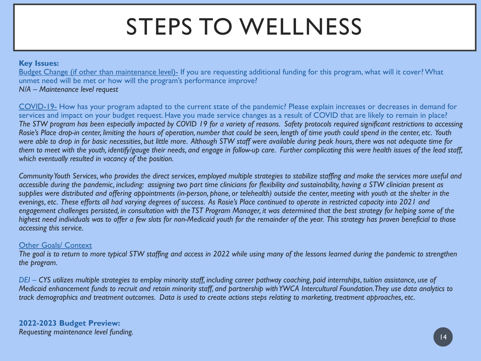# STEPS TO WELLNESS

#### **Key Issues:**

Budget Change (if other than maintenance level)- If you are requesting additional funding for this program, what will it cover? What unmet need will be met or how will the program's performance improve?

#### *N/A – Maintenance level request*

COVID-19- How has your program adapted to the current state of the pandemic? Please explain increases or decreases in demand for services and impact on your budget request. Have you made service changes as a result of COVID that are likely to remain in place? *The STW program has been especially impacted by COVID 19 for a variety of reasons. Safety protocols required significant restrictions to accessing Rosie's Place drop-in center, limiting the hours of operation, number that could be seen, length of time youth could spend in the center, etc. Youth were able to drop in for basic necessities, but little more. Although STW staff were available during peak hours, there was not adequate time for them to meet with the youth, identify/gauge their needs, and engage in follow-up care. Further complicating this were health issues of the lead staff, which eventually resulted in vacancy of the position.* 

*Community Youth Services, who provides the direct services, employed multiple strategies to stabilize staffing and make the services more useful and accessible during the pandemic, including: assigning two part time clinicians for flexibility and sustainability, having a STW clinician present as*  supplies were distributed and offering appointments (in-person, phone, or telehealth) outside the center, meeting with youth at the shelter in the *evenings, etc. These efforts all had varying degrees of success. As Rosie's Place continued to operate in restricted capacity into 2021 and*  engagement challenges persisted, in consultation with the TST Program Manager, it was determined that the best strategy for helping some of the *highest need individuals was to offer a few slots for non-Medicaid youth for the remainder of the year. This strategy has proven beneficial to those accessing this service.*

#### Other Goals/ Context

*The goal is to return to more typical STW staffing and access in 2022 while using many of the lessons learned during the pandemic to strengthen the program.*

*DEI – CYS utilizes multiple strategies to employ minority staff, including career pathway coaching, paid internships, tuition assistance, use of Medicaid enhancement funds to recruit and retain minority staff, and partnership with YWCA Intercultural Foundation. They use data analytics to track demographics and treatment outcomes. Data is used to create actions steps relating to marketing, treatment approaches, etc.*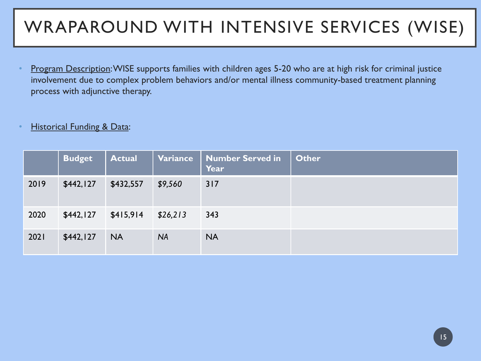### WRAPAROUND WITH INTENSIVE SERVICES (WISE)

- Program Description: WISE supports families with children ages 5-20 who are at high risk for criminal justice involvement due to complex problem behaviors and/or mental illness community-based treatment planning process with adjunctive therapy.
- **Historical Funding & Data:**

|      | <b>Budget</b> | <b>Actual</b> | <b>Variance</b> | <b>Number Served in</b><br>Year | <b>Other</b> |
|------|---------------|---------------|-----------------|---------------------------------|--------------|
| 2019 | \$442,127     | \$432,557     | \$9,560         | 317                             |              |
| 2020 | \$442,127     | \$415,914     | \$26,213        | 343                             |              |
| 2021 | \$442,127     | <b>NA</b>     | <b>NA</b>       | <b>NA</b>                       |              |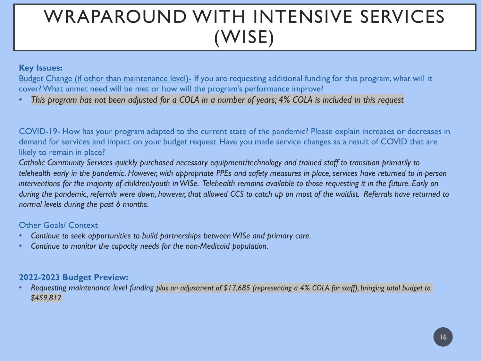### WRAPAROUND WITH INTENSIVE SERVICES (WISE)

#### **Key Issues:**

Budget Change (if other than maintenance level)- If you are requesting additional funding for this program, what will it cover? What unmet need will be met or how will the program's performance improve?

• *This program has not been adjusted for a COLA in a number of years; 4% COLA is included in this request*

COVID-19- How has your program adapted to the current state of the pandemic? Please explain increases or decreases in demand for services and impact on your budget request. Have you made service changes as a result of COVID that are likely to remain in place?

*Catholic Community Services quickly purchased necessary equipment/technology and trained staff to transition primarily to telehealth early in the pandemic. However, with appropriate PPEs and safety measures in place, services have returned to in-person interventions for the majority of children/youth in WISe. Telehealth remains available to those requesting it in the future. Early on during the pandemic, referrals were down, however, that allowed CCS to catch up on most of the waitlist. Referrals have returned to normal levels during the past 6 months.*

#### Other Goals/ Context

- *Continue to seek opportunities to build partnerships between WISe and primary care.*
- *Continue to monitor the capacity needs for the non-Medicaid population.*

#### **2022-2023 Budget Preview:**

• *Requesting maintenance level funding plus an adjustment of \$17,685 (representing a 4% COLA for staff), bringing total budget to \$459,812*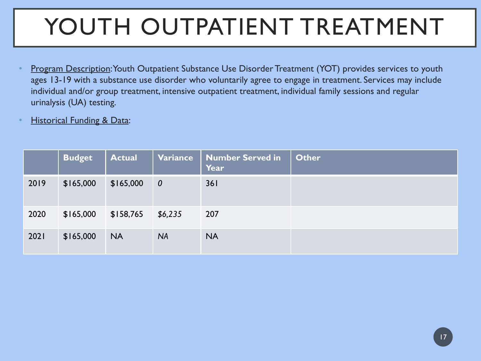# YOUTH OUTPATIENT TREATMENT

- Program Description: Youth Outpatient Substance Use Disorder Treatment (YOT) provides services to youth ages 13-19 with a substance use disorder who voluntarily agree to engage in treatment. Services may include individual and/or group treatment, intensive outpatient treatment, individual family sessions and regular urinalysis (UA) testing.
- **Historical Funding & Data:**

|      | <b>Budget</b> | <b>Actual</b> | Variance         | <b>Number Served in</b><br>Year | <b>Other</b> |
|------|---------------|---------------|------------------|---------------------------------|--------------|
| 2019 | \$165,000     | \$165,000     | $\boldsymbol{0}$ | 361                             |              |
| 2020 | \$165,000     | \$158,765     | \$6,235          | 207                             |              |
| 2021 | \$165,000     | <b>NA</b>     | <b>NA</b>        | <b>NA</b>                       |              |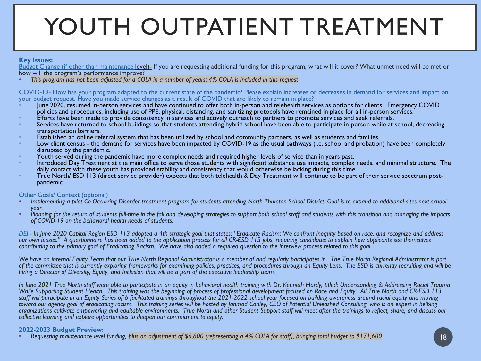# YOUTH OUTPATIENT TREATMENT

#### **Key Issues:**

Budget Change (if other than maintenance level)- If you are requesting additional funding for this program, what will it cover? What unmet need will be met or how will the program's performance improve?

• *This program has not been adjusted for a COLA in a number of years; 4% COLA is included in this request*

#### COVID-19- How has your program adapted to the current state of the pandemic? Please explain increases or decreases in demand for services and impact on your budget request. Have you made service changes as a result of COVID that are likely to remain in place?

- June 2020, resumed in-person services and have continued to offer both in-person and telehealth services as options for clients. Emergency COVID
- 
- policies and procedures, including use of PPE, physical, distancing, and sanitizing protocols have remained in place for all in-person services.<br>Efforts have been made to provide consistency in services and actively outrea
- 
- Established an online referral system that has been utilized by school and community partners, as well as students and families.<br>Low client census the demand for services have been impacted by COVID-19 as the usual pathw
- 
- Youth served during the pandemic have more complex needs and required higher levels of service than in years past.<br>Introduced Day Treatment at the main office to serve those students with significant substance use impacts,
- True North/ ESD 113 (direct service provider) expects that both telehealth & Day Treatment will continue to be part of their service spectrum post-<br>pandemic.

- Other Goals/ Context (optional)<br>• Implementing a pilot Co-Occurring Disorder treatment program for students attending North Thurston School District. Goal is to expand to additional sites next school
- *year. Planning for the return of students full-time in the fall and developing strategies to support both school staff and students with this transition and managing the impacts of COVID-19 on the behavioral health needs of students.*

*DEI - In June 2020 Capital Region ESD 113 adopted a 4th strategic goal that states: "Eradicate Racism: We confront inequity based on race, and recognize and address our own biases." A questionnaire has been added to the application process for all CR-ESD 113 jobs, requiring candidates to explain how applicants see themselves contributing to the primary goal of Eradicating Racism. We have also added a required question to the interview process related to this goal.*

*We have an internal Equity Team that our True North Regional Administrator is a member of and regularly participates in. The True North Regional Administrator is part of the committee that is currently exploring frameworks for examining policies, practices, and procedures through an Equity Lens. The ESD is currently recruiting and will be hiring a Director of Diversity, Equity, and Inclusion that will be a part of the executive leadership team.* 

*In June 2021 True North staff were able to participate in an equity in behavioral health training with Dr. Kenneth Hardy, titled: Understanding & Addressing Racial Trauma*  While Supporting Student Health. This training was the beginning of process of professional development focused on Race and Equity. All True North and CR-ESD 113 *staff will participate in an Equity Series of 6 facilitated trainings throughout the 2021-2022 school year focused on building awareness around racial equity and moving toward our agency goal of eradicating racism. This training series will be hosted by Jahmad Canley, CEO of Potential Unleashed Consulting, who is an expert in helping organizations cultivate empowering and equitable environments. True North and other Student Support staff will meet after the trainings to reflect, share, and discuss our collective learning and explore opportunities to deepen our commitment to equity.*

**2022-2023 Budget Preview:** • *Requesting maintenance level funding, plus an adjustment of \$6,600 (representing a 4% COLA for staff), bringing total budget to \$171,600* <sup>18</sup>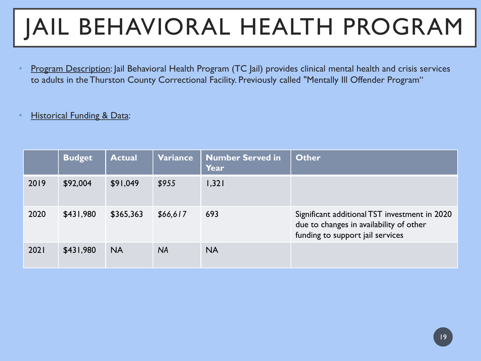# JAIL BEHAVIORAL HEALTH PROGRAM

• Program Description: Jail Behavioral Health Program (TC Jail) provides clinical mental health and crisis services to adults in the Thurston County Correctional Facility. Previously called "Mentally Ill Offender Program"

#### **Historical Funding & Data:**

|      | <b>Budget</b> | <b>Actual</b> | Variance  | <b>Number Served in</b><br>Year | <b>Other</b>                                                                                                                 |
|------|---------------|---------------|-----------|---------------------------------|------------------------------------------------------------------------------------------------------------------------------|
| 2019 | \$92,004      | \$91,049      | \$955     | 1,321                           |                                                                                                                              |
| 2020 | \$431,980     | \$365,363     | \$66,617  | 693                             | Significant additional TST investment in 2020<br>due to changes in availability of other<br>funding to support jail services |
| 2021 | \$431,980     | <b>NA</b>     | <b>NA</b> | <b>NA</b>                       |                                                                                                                              |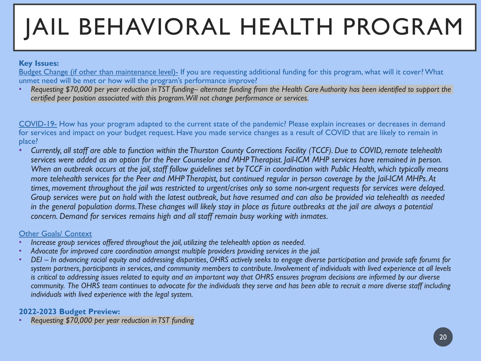# JAIL BEHAVIORAL HEALTH PROGRAM

#### **Key Issues:**

Budget Change (if other than maintenance level)- If you are requesting additional funding for this program, what will it cover? What unmet need will be met or how will the program's performance improve?

• *Requesting \$70,000 per year reduction in TST funding– alternate funding from the Health Care Authority has been identified to support the certified peer position associated with this program. Will not change performance or services.*

COVID-19- How has your program adapted to the current state of the pandemic? Please explain increases or decreases in demand for services and impact on your budget request. Have you made service changes as a result of COVID that are likely to remain in place?

• *Currently, all staff are able to function within the Thurston County Corrections Facility (TCCF). Due to COVID, remote telehealth services were added as an option for the Peer Counselor and MHP Therapist. Jail-ICM MHP services have remained in person. When an outbreak occurs at the jail, staff follow guidelines set by TCCF in coordination with Public Health, which typically means more telehealth services for the Peer and MHP Therapist, but continued regular in person coverage by the Jail-ICM MHPs. At times, movement throughout the jail was restricted to urgent/crises only so some non-urgent requests for services were delayed. Group services were put on hold with the latest outbreak, but have resumed and can also be provided via telehealth as needed in the general population dorms. These changes will likely stay in place as future outbreaks at the jail are always a potential concern. Demand for services remains high and all staff remain busy working with inmates.* 

#### Other Goals/ Context

- *Increase group services offered throughout the jail, utilizing the telehealth option as needed.*
- *Advocate for improved care coordination amongst multiple providers providing services in the jail.*
- *DEI – In advancing racial equity and addressing disparities, OHRS actively seeks to engage diverse participation and provide safe forums for system partners, participants in services, and community members to contribute. Involvement of individuals with lived experience at all levels is critical to addressing issues related to equity and an important way that OHRS ensures program decisions are informed by our diverse community. The OHRS team continues to advocate for the individuals they serve and has been able to recruit a more diverse staff including individuals with lived experience with the legal system.*

#### **2022-2023 Budget Preview:**

• *Requesting \$70,000 per year reduction in TST funding*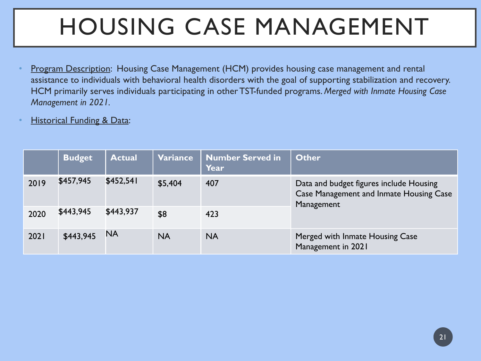# HOUSING CASE MANAGEMENT

- Program Description: Housing Case Management (HCM) provides housing case management and rental assistance to individuals with behavioral health disorders with the goal of supporting stabilization and recovery. HCM primarily serves individuals participating in other TST-funded programs. *Merged with Inmate Housing Case Management in 2021.*
- **Historical Funding & Data:**

|      | <b>Budget</b> | <b>Actual</b> | Variance  | <b>Number Served in</b><br>Year | <b>Other</b>                                                                                            |
|------|---------------|---------------|-----------|---------------------------------|---------------------------------------------------------------------------------------------------------|
| 2019 | \$457,945     | \$452,541     | \$5,404   | 407                             | Data and budget figures include Housing<br><b>Case Management and Inmate Housing Case</b><br>Management |
| 2020 | \$443,945     | \$443,937     | \$8       | 423                             |                                                                                                         |
| 2021 | \$443,945     | <b>NA</b>     | <b>NA</b> | <b>NA</b>                       | Merged with Inmate Housing Case<br>Management in 2021                                                   |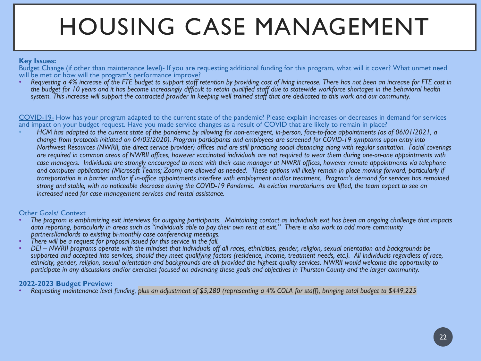# HOUSING CASE MANAGEMENT

#### **Key Issues:**

Budget Change (if other than maintenance level)- If you are requesting additional funding for this program, what will it cover? What unmet need will be met or how will the program's performance improve?

• *Requesting a 4% increase of the FTE budget to support staff retention by providing cost of living increase. There has not been an increase for FTE cost in the budget for 10 years and it has become increasingly difficult to retain qualified staff due to statewide workforce shortages in the behavioral health system. This increase will support the contracted provider in keeping well trained staff that are dedicated to this work and our community.*

COVID-19- How has your program adapted to the current state of the pandemic? Please explain increases or decreases in demand for services and impact on your budget request. Have you made service changes as a result of COVID that are likely to remain in place?

• *HCM has adapted to the current state of the pandemic by allowing for non-emergent, in-person, face-to-face appointments (as of 06/01/2021, a change from protocols initiated on 04/03/2020). Program participants and employees are screened for COVID-19 symptoms upon entry into Northwest Resources (NWRII, the direct service provider) offices and are still practicing social distancing along with regular sanitation. Facial coverings are required in common areas of NWRII offices, however vaccinated individuals are not required to wear them during one-on-one appointments with case managers. Individuals are strongly encouraged to meet with their case manager at NWRII offices, however remote appointments via telephone*  and computer applications (Microsoft Teams; Zoom) are allowed as needed. These options will likely remain in place moving forward, particularly if *transportation is a barrier and/or if in-office appointments interfere with employment and/or treatment. Program's demand for services has remained strong and stable, with no noticeable decrease during the COVID-19 Pandemic. As eviction moratoriums are lifted, the team expect to see an increased need for case management services and rental assistance.*

#### Other Goals/ Context

- *The program is emphasizing exit interviews for outgoing participants. Maintaining contact as individuals exit has been an ongoing challenge that impacts data reporting, particularly in areas such as "individuals able to pay their own rent at exit." There is also work to add more community*
- 
- There will be a request for proposal issued for this service in the fall.<br>DEI NWRII programs operate with the mindset that individuals off all races, ethnicities, gender, religion, sexual orientation and backgrounds be supported and accepted into services, should they meet qualifying factors (residence, income, treatment needs, etc.). All individuals regardless of race, *ethnicity, gender, religion, sexual orientation and backgrounds are all provided the highest quality services. NWRII would welcome the opportunity to participate in any discussions and/or exercises focused on advancing these goals and objectives in Thurston County and the larger community.*

**2022-2023 Budget Preview:** • *Requesting maintenance level funding, plus an adjustment of \$5,280 (representing a 4% COLA for staff), bringing total budget to \$449,225*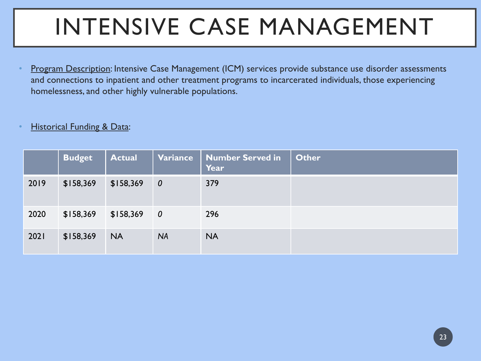# INTENSIVE CASE MANAGEMENT

Program Description: Intensive Case Management (ICM) services provide substance use disorder assessments and connections to inpatient and other treatment programs to incarcerated individuals, those experiencing homelessness, and other highly vulnerable populations.

#### **Historical Funding & Data:**

|      | <b>Budget</b> | <b>Actual</b> | Variance                | <b>Number Served in</b><br>Year | <b>Other</b> |
|------|---------------|---------------|-------------------------|---------------------------------|--------------|
| 2019 | \$158,369     | \$158,369     | $\boldsymbol{0}$        | 379                             |              |
| 2020 | \$158,369     | \$158,369     | $\overline{\mathbf{0}}$ | 296                             |              |
| 2021 | \$158,369     | <b>NA</b>     | <b>NA</b>               | <b>NA</b>                       |              |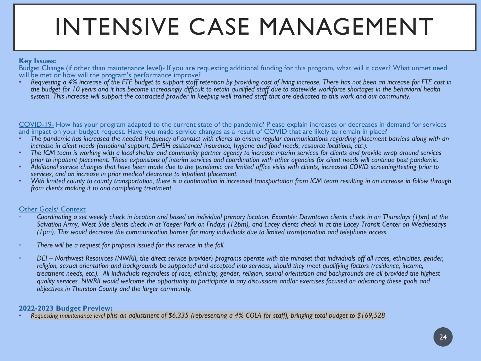# INTENSIVE CASE MANAGEMENT

#### **Key Issues:**

Budget Change (if other than maintenance level)- If you are requesting additional funding for this program, what will it cover? What unmet need will be met or how will the program's performance improve?

• *Requesting a 4% increase of the FTE budget to support staff retention by providing cost of living increase. There has not been an increase for FTE cost in the budget for 10 years and it has become increasingly difficult to retain qualified staff due to statewide workforce shortages in the behavioral health system. This increase will support the contracted provider in keeping well trained staff that are dedicated to this work and our community.*

COVID-19- How has your program adapted to the current state of the pandemic? Please explain increases or decreases in demand for services and impact on your budget request. Have you made service changes as a result of COVID that are likely to remain in place?

- The pandemic has increased the needed frequency of contact with clients to ensure regular communications regarding placement barriers along with an increase in client needs (emotional support, DHSH assistance/ insurance, h
- The ICM team is working with a local shelter and community partner agency to increase interim services for clients and provide wrap around services prior to inpatient placement. These expansions of interim services and coo
- Ádditional service changes that have been made due to the pandemic are limited office visits with clients, increased COVID screening/testing prior to services, and an increase in prior medical clearance to inpatient plac
- With limited county to county transportation, there is a continuation in increased transportation from ICM team resulting in an increase in follow through *from clients making it to and completing treatment.*

#### Other Goals/ Context

- *Coordinating a set weekly check in location and based on individual primary location. Example: Downtown clients check in on Thursdays (1pm) at the Salvation Army, West Side clients check in at Yaeger Park on Fridays (12pm), and Lacey clients check in at the Lacey Transit Center on Wednesdays (1pm). This would decrease the communication barrier for many individuals due to limited transportation and telephone access.*
- *There will be a request for proposal issued for this service in the fall.*
- *DEI – Northwest Resources (NWRII, the direct service provider) programs operate with the mindset that individuals off all races, ethnicities, gender, religion, sexual orientation and backgrounds be supported and accepted into services, should they meet qualifying factors (residence, income, treatment needs, etc.). All individuals regardless of race, ethnicity, gender, religion, sexual orientation and backgrounds are all provided the highest quality services. NWRII would welcome the opportunity to participate in any discussions and/or exercises focused on advancing these goals and objectives in Thurston County and the larger community.*

#### **2022-2023 Budget Preview:**

• *Requesting maintenance level plus an adjustment of \$6.335 (representing a 4% COLA for staff), bringing total budget to \$169,528*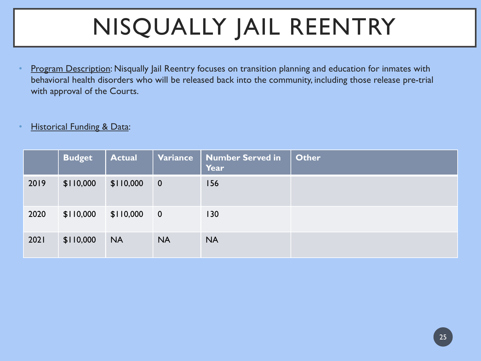# NISQUALLY JAIL REENTRY

Program Description: Nisqually Jail Reentry focuses on transition planning and education for inmates with behavioral health disorders who will be released back into the community, including those release pre-trial with approval of the Courts.

#### **Historical Funding & Data:**

|      | <b>Budget</b> | <b>Actual</b> | Variance                | <b>Number Served in</b><br>Year | <b>Other</b> |
|------|---------------|---------------|-------------------------|---------------------------------|--------------|
| 2019 | \$110,000     | \$110,000     | $\overline{\mathbf{0}}$ | <b>156</b>                      |              |
| 2020 | \$110,000     | \$110,000     | $\overline{0}$          | 130                             |              |
| 2021 | \$110,000     | <b>NA</b>     | <b>NA</b>               | <b>NA</b>                       |              |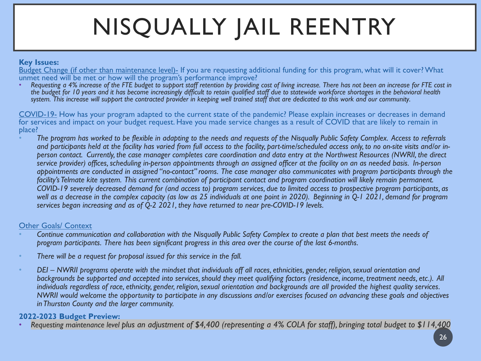# NISQUALLY JAIL REENTRY

#### **Key Issues:**

Budget Change (if other than maintenance level)- If you are requesting additional funding for this program, what will it cover? What unmet need will be met or how will the program's performance improve?

• *Requesting a 4% increase of the FTE budget to support staff retention by providing cost of living increase. There has not been an increase for FTE cost in the budget for 10 years and it has become increasingly difficult to retain qualified staff due to statewide workforce shortages in the behavioral health system. This increase will support the contracted provider in keeping well trained staff that are dedicated to this work and our community.*

COVID-19- How has your program adapted to the current state of the pandemic? Please explain increases or decreases in demand for services and impact on your budget request. Have you made service changes as a result of COVID that are likely to remain in place?

• *The program has worked to be flexible in adapting to the needs and requests of the Nisqually Public Safety Complex. Access to referrals and participants held at the facility has varied from full access to the facility, part-time/scheduled access only, to no on-site visits and/or inperson contact. Currently, the case manager completes care coordination and data entry at the Northwest Resources (NWRII, the direct service provider) offices, scheduling in-person appointments through an assigned officer at the facility on an as needed basis. In-person appointments are conducted in assigned "no-contact" rooms. The case manager also communicates with program participants through the facility's Telmate kite system. This current combination of participant contact and program coordination will likely remain permanent. COVID-19 severely decreased demand for (and access to) program services, due to limited access to prospective program participants, as well as a decrease in the complex capacity (as low as 25 individuals at one point in 2020). Beginning in Q-1 2021, demand for program services began increasing and as of Q-2 2021, they have returned to near pre-COVID-19 levels.*

#### **Other Goals/ Context**

- *Continue communication and collaboration with the Nisqually Public Safety Complex to create a plan that best meets the needs of program participants. There has been significant progress in this area over the course of the last 6-months.*
- *There will be a request for proposal issued for this service in the fall.*
- *DEI – NWRII programs operate with the mindset that individuals off all races, ethnicities, gender, religion, sexual orientation and backgrounds be supported and accepted into services, should they meet qualifying factors (residence, income, treatment needs, etc.). All individuals regardless of race, ethnicity, gender, religion, sexual orientation and backgrounds are all provided the highest quality services. NWRII would welcome the opportunity to participate in any discussions and/or exercises focused on advancing these goals and objectives in Thurston County and the larger community.*

#### **2022-2023 Budget Preview:**

• *Requesting maintenance level plus an adjustment of \$4,400 (representing a 4% COLA for staff), bringing total budget to \$114,400*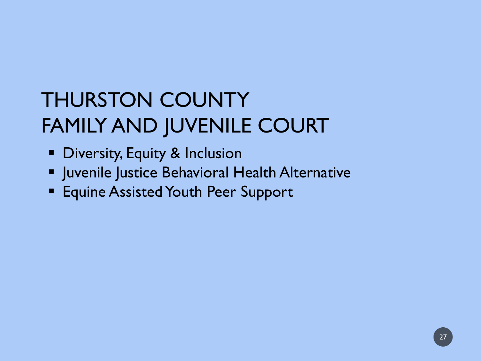### THURSTON COUNTY FAMILY AND JUVENILE COURT

- **Diversity, Equity & Inclusion**
- **Juvenile Justice Behavioral Health Alternative**
- **Equine Assisted Youth Peer Support**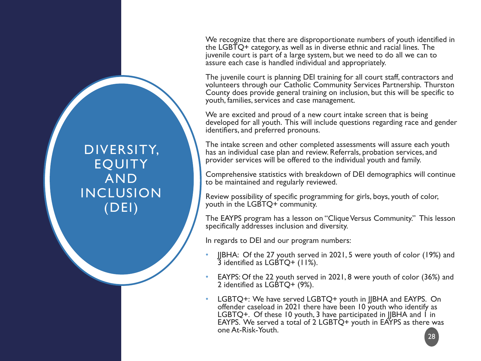We recognize that there are disproportionate numbers of youth identified in the LGBTQ+ category, as well as in diverse ethnic and racial lines. The juvenile court is part of a large system, but we need to do all we can to assure each case is handled individual and appropriately.

The juvenile court is planning DEI training for all court staff, contractors and volunteers through our Catholic Community Services Partnership. Thurston County does provide general training on inclusion, but this will be specific to youth, families, services and case management.

We are excited and proud of a new court intake screen that is being developed for all youth. This will include questions regarding race and gender identifiers, and preferred pronouns.

The intake screen and other completed assessments will assure each youth has an individual case plan and review. Referrals, probation services, and provider services will be offered to the individual youth and family.

Comprehensive statistics with breakdown of DEI demographics will continue to be maintained and regularly reviewed.

Review possibility of specific programming for girls, boys, youth of color, youth in the LGBTQ+ community.

The EAYPS program has a lesson on "Clique Versus Community." This lesson specifically addresses inclusion and diversity.

In regards to DEI and our program numbers:

- JJBHA: Of the 27 youth served in 2021, 5 were youth of color (19%) and  $\overline{3}$  identified as LGBTQ+ (11%).
- EAYPS: Of the 22 youth served in 2021, 8 were youth of color (36%) and 2 identified as LGBTQ+ (9%).
- LGBTQ+: We have served LGBTQ+ youth in JJBHA and EAYPS. On offender caseload in 2021 there have been 10 youth who identify as LGBTQ+. Of these 10 youth, 3 have participated in JIBHA and 1 in EAYPS. We served a total of 2 LGBTQ+ youth in EAYPS as there was one At-Risk-Youth.

DIVERSITY, **EOUITY** AND INCLUSION (DEI)

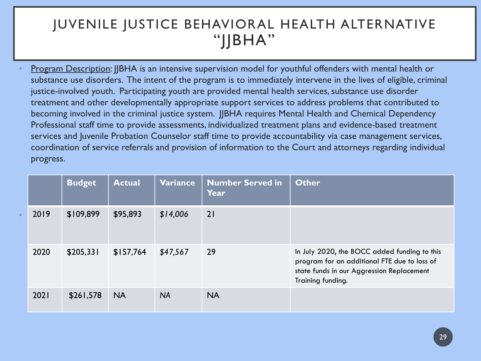### JUVENILE JUSTICE BEHAVIORAL HEALTH ALTERNATIVE  $"$ | $|BHA"$

• Program Description: JJBHA is an intensive supervision model for youthful offenders with mental health or substance use disorders. The intent of the program is to immediately intervene in the lives of eligible, criminal justice-involved youth. Participating youth are provided mental health services, substance use disorder treatment and other developmentally appropriate support services to address problems that contributed to becoming involved in the criminal justice system. IIBHA requires Mental Health and Chemical Dependency Professional staff time to provide assessments, individualized treatment plans and evidence-based treatment services and Juvenile Probation Counselor staff time to provide accountability via case management services, coordination of service referrals and provision of information to the Court and attorneys regarding individual progress.

|      | <b>Budget</b> | <b>Actual</b> | Variance  | <b>Number Served in</b><br>Year | <b>Other</b>                                                                                                                                                   |
|------|---------------|---------------|-----------|---------------------------------|----------------------------------------------------------------------------------------------------------------------------------------------------------------|
| 2019 | \$109,899     | \$95,893      | \$14,006  | 21                              |                                                                                                                                                                |
| 2020 | \$205,331     | \$157,764     | \$47,567  | 29                              | In July 2020, the BOCC added funding to this<br>program for an additional FTE due to loss of<br>state funds in our Aggression Replacement<br>Training funding. |
| 2021 | \$261,578     | <b>NA</b>     | <b>NA</b> | <b>NA</b>                       |                                                                                                                                                                |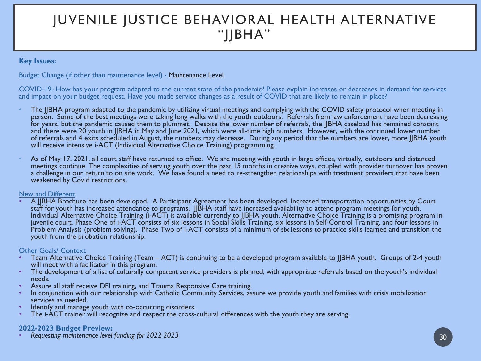### JUVENILE JUSTICE BEHAVIORAL HEALTH ALTERNATIVE "JJBHA"

#### **Key Issues:**

#### Budget Change (if other than maintenance level) - Maintenance Level*.*

COVID-19- How has your program adapted to the current state of the pandemic? Please explain increases or decreases in demand for services and impact on your budget request. Have you made service changes as a result of COVID that are likely to remain in place?

- The JJBHA program adapted to the pandemic by utilizing virtual meetings and complying with the COVID safety protocol when meeting in person. Some of the best meetings were taking long walks with the youth outdoors. Referrals from law enforcement have been decreasing for years, but the pandemic caused them to plummet. Despite the lower number of referrals, the IIBHA caseload has remained constant and there were 20 youth in JJBHA in May and June 2021, which were all-time high numbers. However, with the continued lower number of referrals and 4 exits scheduled in August, the numbers may decrease. During any period that the numbers are lower, more JJBHA youth will receive intensive i-ACT (Individual Alternative Choice Training) programming.
- As of May 17, 2021, all court staff have returned to office. We are meeting with youth in large offices, virtually, outdoors and distanced meetings continue. The complexities of serving youth over the past 15 months in creative ways, coupled with provider turnover has proven a challenge in our return to on site work. We have found a need to re-strengthen relationships with treatment providers that have been weakened by Covid restrictions.

#### New and Different

A JJBHA Brochure has been developed. A Participant Agreement has been developed. Increased transportation opportunities by Court staff for youth has increased attendance to programs. JJBHA staff have increased availability to attend program meetings for youth. Individual Alternative Choice Training (i-ACT) is available currently to JJBHA youth. Alternative Choice Training is a promising program in juvenile court. Phase One of i-ACT consists of six lessons in Social Skills Training, six lessons in Self-Control Training, and four lessons in Problem Analysis (problem solving). Phase Two of i-ACT consists of a minimum of six lessons to practice skills learned and transition the youth from the probation relationship.

#### Other Goals/ Context

- Team Alternative Choice Training (Team ACT) is continuing to be a developed program available to JJBHA youth. Groups of 2-4 youth will meet with a facilitator in this program.
- The development of a list of culturally competent service providers is planned, with appropriate referrals based on the youth's individual needs.
- 
- Assure all staff receive DEI training, and Trauma Responsive Care training.<br>In conjunction with our relationship with Catholic Community Services, assure we provide youth and families with crisis mobilization<br>services as n
- 
- Identify and manage youth with co-occurring disorders.<br>The i-ACT trainer will recognize and respect the cross-cultural differences with the youth they are serving.

**2022-2023 Budget Preview:** • *Requesting maintenance level funding for 2022-2023* <sup>30</sup>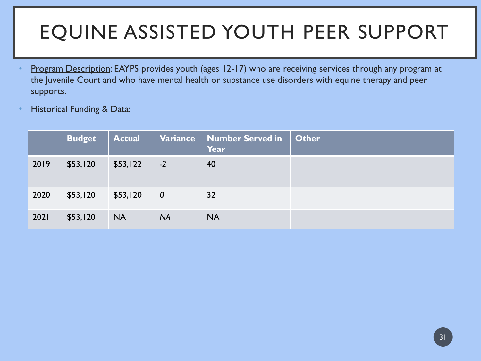### EQUINE ASSISTED YOUTH PEER SUPPORT

- Program Description: EAYPS provides youth (ages 12-17) who are receiving services through any program at the Juvenile Court and who have mental health or substance use disorders with equine therapy and peer supports.
- **Historical Funding & Data:**

|      | <b>Budget</b> | <b>Actual</b> | <b>Variance</b>  | Number Served in<br>Year | <b>Other</b> |
|------|---------------|---------------|------------------|--------------------------|--------------|
| 2019 | \$53,120      | \$53,122      | $-2$             | 40                       |              |
| 2020 | \$53,120      | \$53,120      | $\boldsymbol{0}$ | 32                       |              |
| 2021 | \$53,120      | <b>NA</b>     | <b>NA</b>        | <b>NA</b>                |              |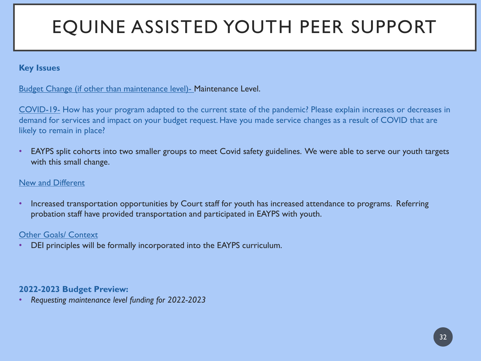### EQUINE ASSISTED YOUTH PEER SUPPORT

#### **Key Issues**

#### Budget Change (if other than maintenance level)- Maintenance Level.

COVID-19- How has your program adapted to the current state of the pandemic? Please explain increases or decreases in demand for services and impact on your budget request. Have you made service changes as a result of COVID that are likely to remain in place?

EAYPS split cohorts into two smaller groups to meet Covid safety guidelines. We were able to serve our youth targets with this small change.

#### New and Different

• Increased transportation opportunities by Court staff for youth has increased attendance to programs. Referring probation staff have provided transportation and participated in EAYPS with youth.

#### Other Goals/ Context

• DEI principles will be formally incorporated into the EAYPS curriculum.

#### **2022-2023 Budget Preview:**

• *Requesting maintenance level funding for 2022-2023*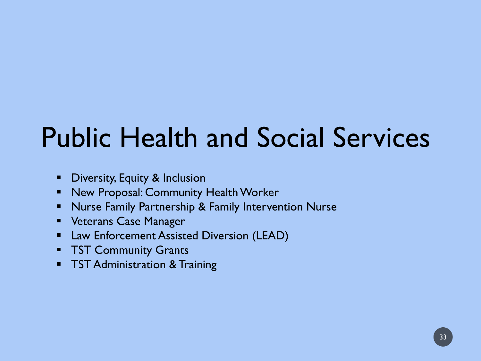# Public Health and Social Services

- **-** Diversity, Equity & Inclusion
- **New Proposal: Community Health Worker**
- **Nurse Family Partnership & Family Intervention Nurse**
- **Veterans Case Manager**
- **E.** Law Enforcement Assisted Diversion (LEAD)
- **TST Community Grants**
- **TST Administration & Training**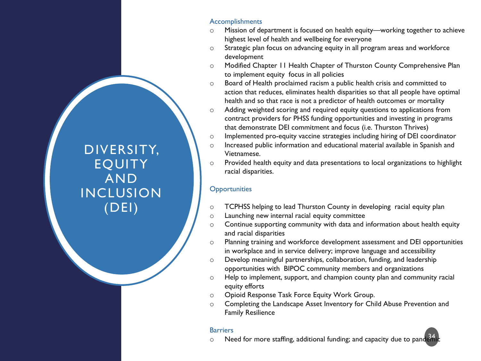#### Accomplishments

- o Mission of department is focused on health equity—working together to achieve highest level of health and wellbeing for everyone
- o Strategic plan focus on advancing equity in all program areas and workforce development
- o Modified Chapter 11 Health Chapter of Thurston County Comprehensive Plan to implement equity focus in all policies
- o Board of Health proclaimed racism a public health crisis and committed to action that reduces, eliminates health disparities so that all people have optimal health and so that race is not a predictor of health outcomes or mortality
- o Adding weighted scoring and required equity questions to applications from contract providers for PHSS funding opportunities and investing in programs that demonstrate DEI commitment and focus (i.e. Thurston Thrives)
- o Implemented pro-equity vaccine strategies including hiring of DEI coordinator
- o Increased public information and educational material available in Spanish and Vietnamese.
- o Provided health equity and data presentations to local organizations to highlight racial disparities.

#### **Opportunities**

- $\circ$  TCPHSS helping to lead Thurston County in developing racial equity plan
- o Launching new internal racial equity committee
- o Continue supporting community with data and information about health equity and racial disparities
- o Planning training and workforce development assessment and DEI opportunities in workplace and in service delivery; improve language and accessibility
- o Develop meaningful partnerships, collaboration, funding, and leadership opportunities with BIPOC community members and organizations
- $\circ$  Help to implement, support, and champion county plan and community racial equity efforts
- o Opioid Response Task Force Equity Work Group.
- o Completing the Landscape Asset Inventory for Child Abuse Prevention and Family Resilience

#### **Barriers**

 $\circ$  Meed for more staffing, additional funding; and capacity due to pandemic

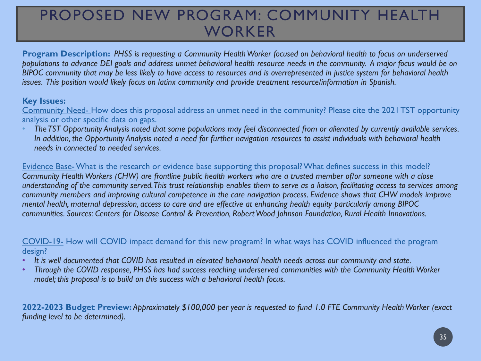### PROPOSED NEW PROGRAM: COMMUNITY HEALTH WORKER

**Program Description:** *PHSS is requesting a Community Health Worker focused on behavioral health to focus on underserved populations to advance DEI goals and address unmet behavioral health resource needs in the community. A major focus would be on BIPOC community that may be less likely to have access to resources and is overrepresented in justice system for behavioral health issues. This position would likely focus on latinx community and provide treatment resource/information in Spanish.*

#### **Key Issues:**

Community Need- How does this proposal address an unmet need in the community? Please cite the 2021 TST opportunity analysis or other specific data on gaps.

• *The TST Opportunity Analysis noted that some populations may feel disconnected from or alienated by currently available services. In addition, the Opportunity Analysis noted a need for further navigation resources to assist individuals with behavioral health needs in connected to needed services.* 

Evidence Base-What is the research or evidence base supporting this proposal? What defines success in this model? *Community Health Workers (CHW) are frontline public health workers who are a trusted member of/or someone with a close understanding of the community served. This trust relationship enables them to serve as a liaison, facilitating access to services among community members and improving cultural competence in the care navigation process. Evidence shows that CHW models improve mental health, maternal depression, access to care and are effective at enhancing health equity particularly among BIPOC communities. Sources: Centers for Disease Control & Prevention, Robert Wood Johnson Foundation, Rural Health Innovations.*

COVID-19- How will COVID impact demand for this new program? In what ways has COVID influenced the program design?

- *It is well documented that COVID has resulted in elevated behavioral health needs across our community and state.*
- *Through the COVID response, PHSS has had success reaching underserved communities with the Community Health Worker model; this proposal is to build on this success with a behavioral health focus.*

**2022-2023 Budget Preview:** *Approximately \$100,000 per year is requested to fund 1.0 FTE Community Health Worker (exact funding level to be determined).*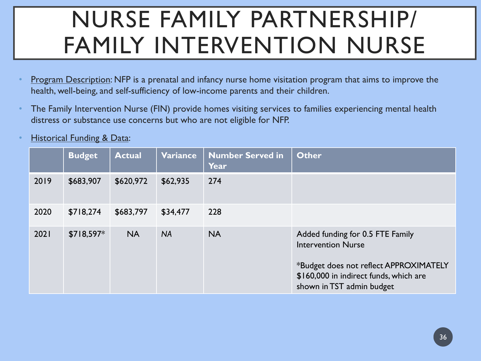## NURSE FAMILY PARTNERSHIP/ FAMILY INTERVENTION NURSE

- Program Description: NFP is a prenatal and infancy nurse home visitation program that aims to improve the health, well-being, and self-sufficiency of low-income parents and their children.
- The Family Intervention Nurse (FIN) provide homes visiting services to families experiencing mental health distress or substance use concerns but who are not eligible for NFP.
- **Historical Funding & Data:**

|      | <b>Budget</b> | <b>Actual</b> | Variance  | <b>Number Served in</b><br>Year | <b>Other</b>                                                                                                                                                                   |
|------|---------------|---------------|-----------|---------------------------------|--------------------------------------------------------------------------------------------------------------------------------------------------------------------------------|
| 2019 | \$683,907     | \$620,972     | \$62,935  | 274                             |                                                                                                                                                                                |
| 2020 | \$718,274     | \$683,797     | \$34,477  | 228                             |                                                                                                                                                                                |
| 2021 | $$718,597*$   | <b>NA</b>     | <b>NA</b> | <b>NA</b>                       | Added funding for 0.5 FTE Family<br><b>Intervention Nurse</b><br>*Budget does not reflect APPROXIMATELY<br>\$160,000 in indirect funds, which are<br>shown in TST admin budget |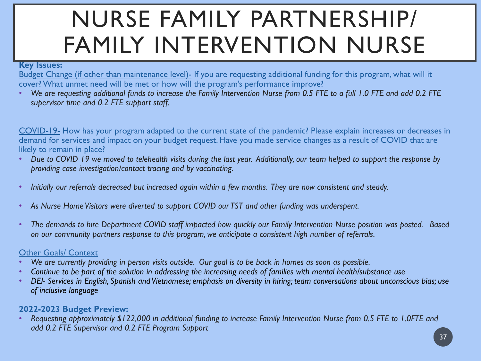## NURSE FAMILY PARTNERSHIP/ FAMILY INTERVENTION NURSE

#### **Key Issues:**

Budget Change (if other than maintenance level)- If you are requesting additional funding for this program, what will it cover? What unmet need will be met or how will the program's performance improve?

• *We are requesting additional funds to increase the Family Intervention Nurse from 0.5 FTE to a full 1.0 FTE and add 0.2 FTE supervisor time and 0.2 FTE support staff.* 

COVID-19- How has your program adapted to the current state of the pandemic? Please explain increases or decreases in demand for services and impact on your budget request. Have you made service changes as a result of COVID that are likely to remain in place?

- *Due to COVID 19 we moved to telehealth visits during the last year. Additionally, our team helped to support the response by providing case investigation/contact tracing and by vaccinating.*
- *Initially our referrals decreased but increased again within a few months. They are now consistent and steady.*
- *As Nurse Home Visitors were diverted to support COVID our TST and other funding was underspent.*
- *The demands to hire Department COVID staff impacted how quickly our Family Intervention Nurse position was posted. Based on our community partners response to this program, we anticipate a consistent high number of referrals.*

#### Other Goals/ Context

- *We are currently providing in person visits outside. Our goal is to be back in homes as soon as possible.*
- *Continue to be part of the solution in addressing the increasing needs of families with mental health/substance use*
- *DEI- Services in English, Spanish and Vietnamese; emphasis on diversity in hiring; team conversations about unconscious bias; use of inclusive language*

#### **2022-2023 Budget Preview:**

• *Requesting approximately \$122,000 in additional funding to increase Family Intervention Nurse from 0.5 FTE to 1.0FTE and add 0.2 FTE Supervisor and 0.2 FTE Program Support*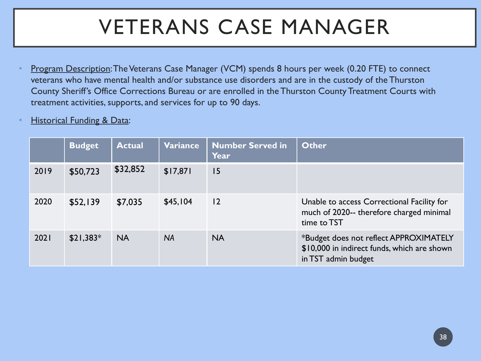### VETERANS CASE MANAGER

- Program Description: The Veterans Case Manager (VCM) spends 8 hours per week (0.20 FTE) to connect veterans who have mental health and/or substance use disorders and are in the custody of the Thurston County Sheriff's Office Corrections Bureau or are enrolled in the Thurston County Treatment Courts with treatment activities, supports, and services for up to 90 days.
- **Historical Funding & Data:**

|      | <b>Budget</b> | <b>Actual</b> | <b>Variance</b> | <b>Number Served in</b><br>Year | <b>Other</b>                                                                                                 |
|------|---------------|---------------|-----------------|---------------------------------|--------------------------------------------------------------------------------------------------------------|
| 2019 | \$50,723      | \$32,852      | \$17,871        | 15                              |                                                                                                              |
| 2020 | \$52,139      | \$7,035       | \$45,104        | 12                              | Unable to access Correctional Facility for<br>much of 2020-- therefore charged minimal<br>time to TST        |
| 2021 | $$21,383*$    | <b>NA</b>     | <b>NA</b>       | <b>NA</b>                       | *Budget does not reflect APPROXIMATELY<br>\$10,000 in indirect funds, which are shown<br>in TST admin budget |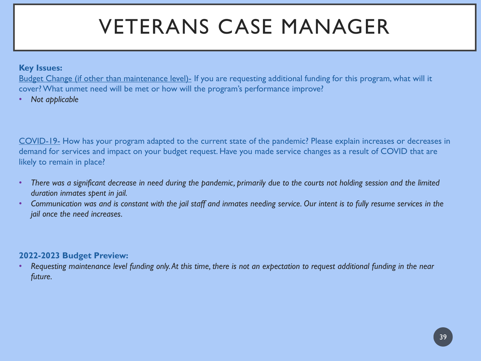### VETERANS CASE MANAGER

#### **Key Issues:**

Budget Change (if other than maintenance level)- If you are requesting additional funding for this program, what will it cover? What unmet need will be met or how will the program's performance improve?

• *Not applicable*

COVID-19- How has your program adapted to the current state of the pandemic? Please explain increases or decreases in demand for services and impact on your budget request. Have you made service changes as a result of COVID that are likely to remain in place?

- *There was a significant decrease in need during the pandemic, primarily due to the courts not holding session and the limited duration inmates spent in jail.*
- *Communication was and is constant with the jail staff and inmates needing service. Our intent is to fully resume services in the jail once the need increases.*

#### **2022-2023 Budget Preview:**

• *Requesting maintenance level funding only. At this time, there is not an expectation to request additional funding in the near future.*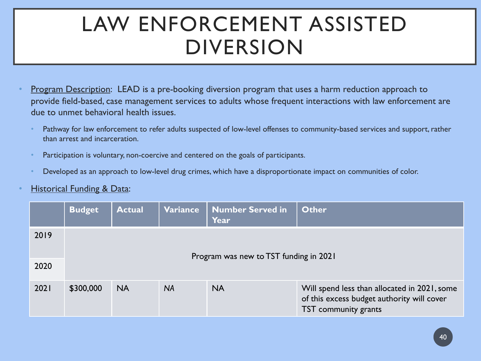### LAW ENFORCEMENT ASSISTED DIVERSION

- **Program Description: LEAD is a pre-booking diversion program that uses a harm reduction approach to** provide field-based, case management services to adults whose frequent interactions with law enforcement are due to unmet behavioral health issues.
	- Pathway for law enforcement to refer adults suspected of low-level offenses to community-based services and support, rather than arrest and incarceration.
	- Participation is voluntary, non-coercive and centered on the goals of participants.
	- Developed as an approach to low-level drug crimes, which have a disproportionate impact on communities of color.

#### **Historical Funding & Data:**

|      | <b>Budget</b>                          | <b>Actual</b> | <b>Variance</b> | Number Served in<br>Year | Other                                                                                                              |  |
|------|----------------------------------------|---------------|-----------------|--------------------------|--------------------------------------------------------------------------------------------------------------------|--|
| 2019 | Program was new to TST funding in 2021 |               |                 |                          |                                                                                                                    |  |
| 2020 |                                        |               |                 |                          |                                                                                                                    |  |
| 2021 | \$300,000                              | <b>NA</b>     | <b>NA</b>       | <b>NA</b>                | Will spend less than allocated in 2021, some<br>of this excess budget authority will cover<br>TST community grants |  |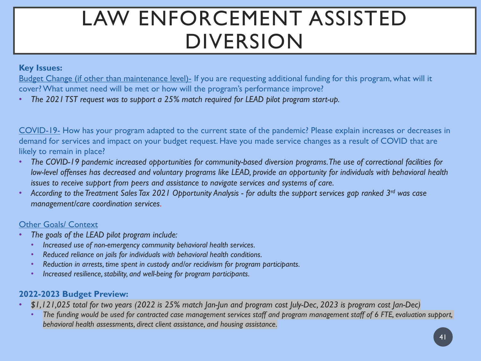### LAW ENFORCEMENT ASSISTED DIVERSION

#### **Key Issues:**

Budget Change (if other than maintenance level)- If you are requesting additional funding for this program, what will it cover? What unmet need will be met or how will the program's performance improve?

• *The 2021 TST request was to support a 25% match required for LEAD pilot program start-up.*

COVID-19- How has your program adapted to the current state of the pandemic? Please explain increases or decreases in demand for services and impact on your budget request. Have you made service changes as a result of COVID that are likely to remain in place?

- *The COVID-19 pandemic increased opportunities for community-based diversion programs. The use of correctional facilities for low-level offenses has decreased and voluntary programs like LEAD, provide an opportunity for individuals with behavioral health issues to receive support from peers and assistance to navigate services and systems of care.*
- *According to the Treatment Sales Tax 2021 Opportunity Analysis - for adults the support services gap ranked 3rd was case management/care coordination services.*

#### Other Goals/ Context

- *The goals of the LEAD pilot program include:* 
	- *Increased use of non-emergency community behavioral health services.*
	- *Reduced reliance on jails for individuals with behavioral health conditions.*
	- *Reduction in arrests, time spent in custody and/or recidivism for program participants.*
	- *Increased resilience, stability, and well-being for program participants.*

#### **2022-2023 Budget Preview:**

- *\$1,121,025 total for two years (2022 is 25% match Jan-Jun and program cost July-Dec, 2023 is program cost Jan-Dec)*
	- *The funding would be used for contracted case management services staff and program management staff of 6 FTE, evaluation support, behavioral health assessments, direct client assistance, and housing assistance.*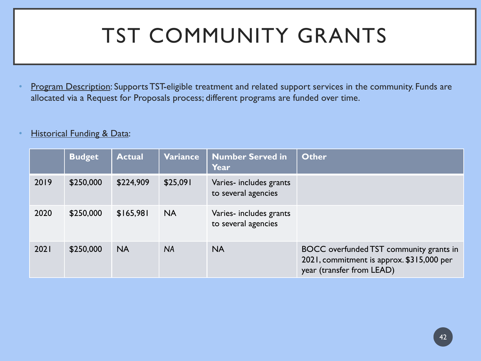### TST COMMUNITY GRANTS

- Program Description: Supports TST-eligible treatment and related support services in the community. Funds are allocated via a Request for Proposals process; different programs are funded over time.
- **Historical Funding & Data:**

|      | <b>Budget</b> | <b>Actual</b> | Variance  | <b>Number Served in</b><br><b>Year</b>         | <b>Other</b>                                                                                                      |
|------|---------------|---------------|-----------|------------------------------------------------|-------------------------------------------------------------------------------------------------------------------|
| 2019 | \$250,000     | \$224,909     | \$25,091  | Varies- includes grants<br>to several agencies |                                                                                                                   |
| 2020 | \$250,000     | \$165,981     | <b>NA</b> | Varies- includes grants<br>to several agencies |                                                                                                                   |
| 2021 | \$250,000     | <b>NA</b>     | <b>NA</b> | <b>NA</b>                                      | BOCC overfunded TST community grants in<br>2021, commitment is approx. \$315,000 per<br>year (transfer from LEAD) |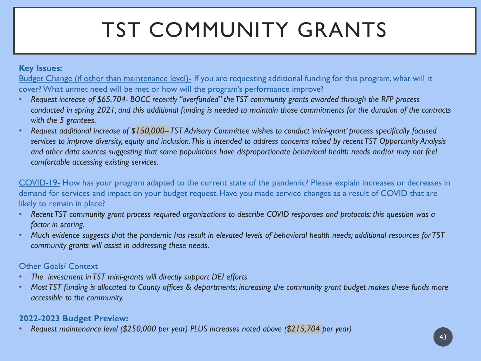## TST COMMUNITY GRANTS

#### **Key Issues:**

Budget Change (if other than maintenance level)- If you are requesting additional funding for this program, what will it cover? What unmet need will be met or how will the program's performance improve?

- *Request increase of \$65,704- BOCC recently "overfunded" the TST community grants awarded through the RFP process conducted in spring 2021, and this additional funding is needed to maintain those commitments for the duration of the contracts with the 5 grantees.*
- *Request additional increase of \$150,000–TST Advisory Committee wishes to conduct 'mini-grant' process specifically focused services to improve diversity, equity and inclusion. This is intended to address concerns raised by recent TST Opportunity Analysis and other data sources suggesting that some populations have disproportionate behavioral health needs and/or may not feel comfortable accessing existing services.*

COVID-19- How has your program adapted to the current state of the pandemic? Please explain increases or decreases in demand for services and impact on your budget request. Have you made service changes as a result of COVID that are likely to remain in place?

- *Recent TST community grant process required organizations to describe COVID responses and protocols; this question was a factor in scoring.*
- *Much evidence suggests that the pandemic has result in elevated levels of behavioral health needs; additional resources for TST community grants will assist in addressing these needs.*

#### Other Goals/ Context

- *The investment in TST mini-grants will directly support DEI efforts*
- *Most TST funding is allocated to County offices & departments; increasing the community grant budget makes these funds more accessible to the community.*

#### **2022-2023 Budget Preview:**

• *Request maintenance level (\$250,000 per year) PLUS increases noted above (\$215,704 per year)*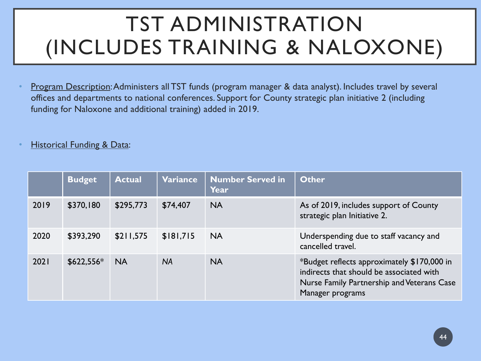### TST ADMINISTRATION (INCLUDES TRAINING & NALOXONE)

• Program Description: Administers all TST funds (program manager & data analyst). Includes travel by several offices and departments to national conferences. Support for County strategic plan initiative 2 (including funding for Naloxone and additional training) added in 2019.

#### **Historical Funding & Data:**

|      | <b>Budget</b> | <b>Actual</b> | <b>Variance</b> | <b>Number Served in</b><br><b>Year</b> | Other                                                                                                                                                     |
|------|---------------|---------------|-----------------|----------------------------------------|-----------------------------------------------------------------------------------------------------------------------------------------------------------|
| 2019 | \$370,180     | \$295,773     | \$74,407        | <b>NA</b>                              | As of 2019, includes support of County<br>strategic plan Initiative 2.                                                                                    |
| 2020 | \$393,290     | \$211,575     | \$181,715       | <b>NA</b>                              | Underspending due to staff vacancy and<br>cancelled travel.                                                                                               |
| 2021 | $$622,556*$   | <b>NA</b>     | <b>NA</b>       | <b>NA</b>                              | *Budget reflects approximately \$170,000 in<br>indirects that should be associated with<br>Nurse Family Partnership and Veterans Case<br>Manager programs |